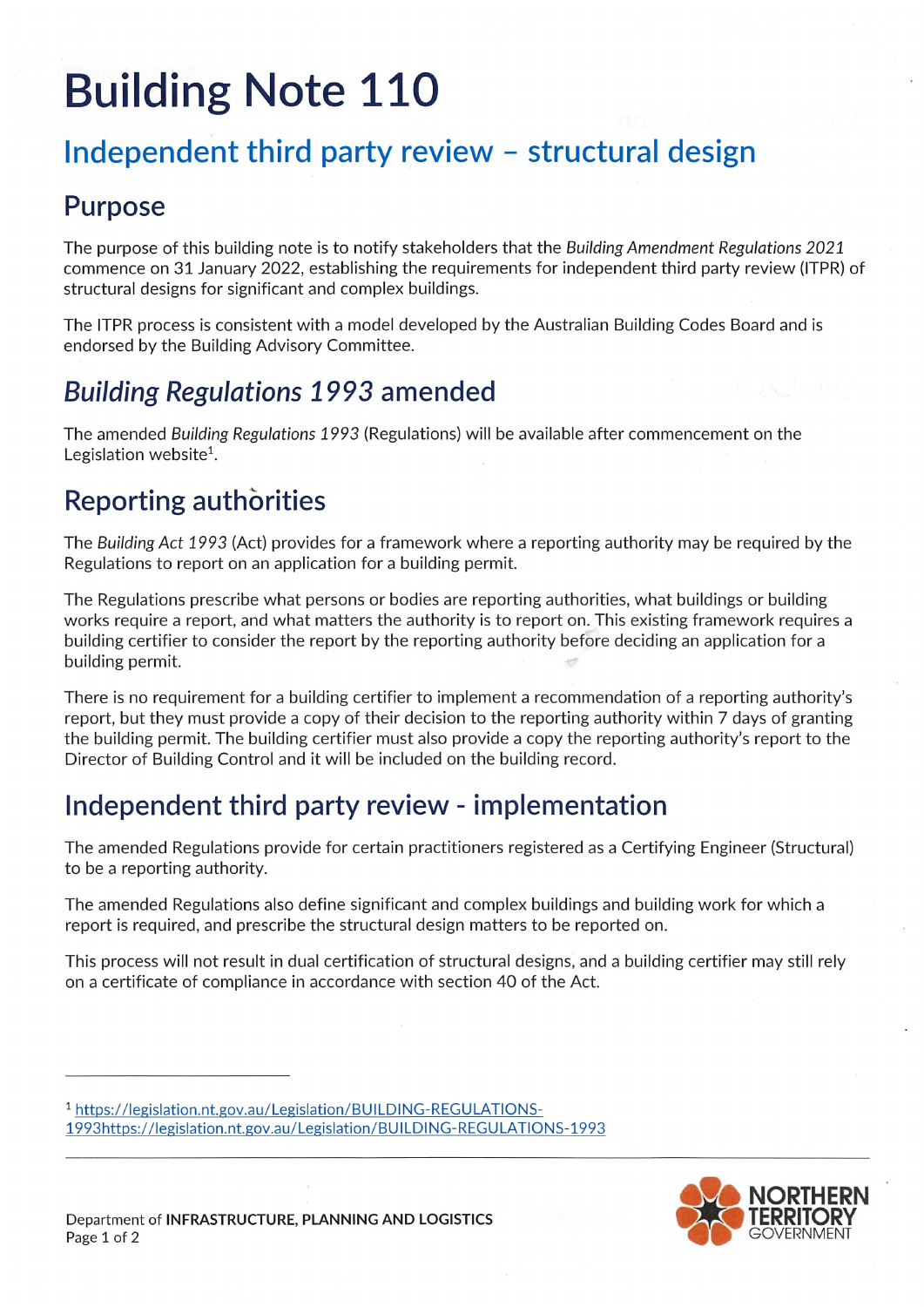# **Building Note 110**

# Independent third party review - structural design

#### Purpose

The purpose of this building note is to notify stakeholders that the Building Amendment Regulations 2021 commence on 31 January 2022, establishing the requirements for independent third party review (ITPR) of structural designs for significant and complex buildings.

The ITPR process is consistent with a model developed by the Australian Building Codes Board and is endorsed by the Building Advisory Committee.

# Building Regulations 1993 amended

The amended Building Regulations 1993 (Regulations) will be available after commencement on the Legislation website'.

## **Reporting authorities**

The Building Act 1993 (Act) provides for a framework where a reporting authority may be required by the Regulations to report on an application for a building permit.

The Regulations prescribe what persons or bodies are reporting authorities, what buildings or building works require a report, and what matters the authority is to report on. This existing framework requires a building certifier to consider the report by the reporting authority before deciding an application for a building permit.

There is no requirement for a building certifier to implement a recommendation of a reporting authority's report, but they must provide a copy of their decision to the reporting authority within 7 days of granting the building permit. The building certifier must also provide a copy the reporting authority's report to the Director of Building Control and it will be included on the building record.

## Independent third party review - implementation

The amended Regulations provide for certain practitioners registered as a Certifying Engineer (Structural) to be a reporting authority.

The amended Regulations also define significant and complex buildings and building work for which a report is required, and prescribe the structural design matters to be reported on.

This process will not result in dual certification of structural designs, and a building certifier may still rely on a certificate of compliance in accordance with section 40 of the Act.

<sup>1</sup> https://legislation.nt.gov.au/Legislation/BUILDING-REGULATIONS-1993https://legislation.nt.gov.au/Legislation/BUILDING-REGULATIONS-1993